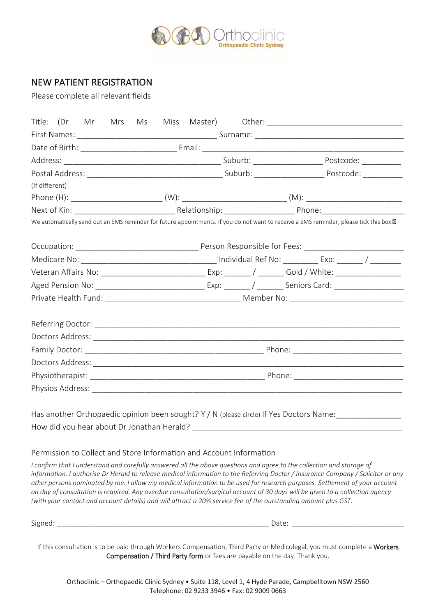

## NEW PATIENT REGISTRATION

Please complete all relevant fields

| (If different) |  |  |  |  |  |  |                                                                     |                                                                                                                                                                                                                                                                                                                                                                                                                                                                                                                                                                                                                                            |  |  |
|----------------|--|--|--|--|--|--|---------------------------------------------------------------------|--------------------------------------------------------------------------------------------------------------------------------------------------------------------------------------------------------------------------------------------------------------------------------------------------------------------------------------------------------------------------------------------------------------------------------------------------------------------------------------------------------------------------------------------------------------------------------------------------------------------------------------------|--|--|
|                |  |  |  |  |  |  |                                                                     |                                                                                                                                                                                                                                                                                                                                                                                                                                                                                                                                                                                                                                            |  |  |
|                |  |  |  |  |  |  |                                                                     |                                                                                                                                                                                                                                                                                                                                                                                                                                                                                                                                                                                                                                            |  |  |
|                |  |  |  |  |  |  |                                                                     | We automatically send out an SMS reminder for future appointments. If you do not want to receive a SMS reminder, please tick this box                                                                                                                                                                                                                                                                                                                                                                                                                                                                                                      |  |  |
|                |  |  |  |  |  |  |                                                                     |                                                                                                                                                                                                                                                                                                                                                                                                                                                                                                                                                                                                                                            |  |  |
|                |  |  |  |  |  |  |                                                                     |                                                                                                                                                                                                                                                                                                                                                                                                                                                                                                                                                                                                                                            |  |  |
|                |  |  |  |  |  |  |                                                                     |                                                                                                                                                                                                                                                                                                                                                                                                                                                                                                                                                                                                                                            |  |  |
|                |  |  |  |  |  |  |                                                                     |                                                                                                                                                                                                                                                                                                                                                                                                                                                                                                                                                                                                                                            |  |  |
|                |  |  |  |  |  |  |                                                                     |                                                                                                                                                                                                                                                                                                                                                                                                                                                                                                                                                                                                                                            |  |  |
|                |  |  |  |  |  |  |                                                                     |                                                                                                                                                                                                                                                                                                                                                                                                                                                                                                                                                                                                                                            |  |  |
|                |  |  |  |  |  |  |                                                                     |                                                                                                                                                                                                                                                                                                                                                                                                                                                                                                                                                                                                                                            |  |  |
|                |  |  |  |  |  |  |                                                                     |                                                                                                                                                                                                                                                                                                                                                                                                                                                                                                                                                                                                                                            |  |  |
|                |  |  |  |  |  |  |                                                                     |                                                                                                                                                                                                                                                                                                                                                                                                                                                                                                                                                                                                                                            |  |  |
|                |  |  |  |  |  |  |                                                                     |                                                                                                                                                                                                                                                                                                                                                                                                                                                                                                                                                                                                                                            |  |  |
|                |  |  |  |  |  |  |                                                                     |                                                                                                                                                                                                                                                                                                                                                                                                                                                                                                                                                                                                                                            |  |  |
|                |  |  |  |  |  |  |                                                                     | Has another Orthopaedic opinion been sought? Y / N (please circle) If Yes Doctors Name:                                                                                                                                                                                                                                                                                                                                                                                                                                                                                                                                                    |  |  |
|                |  |  |  |  |  |  |                                                                     |                                                                                                                                                                                                                                                                                                                                                                                                                                                                                                                                                                                                                                            |  |  |
|                |  |  |  |  |  |  |                                                                     |                                                                                                                                                                                                                                                                                                                                                                                                                                                                                                                                                                                                                                            |  |  |
|                |  |  |  |  |  |  | Permission to Collect and Store Information and Account Information |                                                                                                                                                                                                                                                                                                                                                                                                                                                                                                                                                                                                                                            |  |  |
|                |  |  |  |  |  |  |                                                                     | I confirm that I understand and carefully answered all the above questions and agree to the collection and storage of<br>information. I authorise Dr Herald to release medical information to the Referring Doctor / Insurance Company / Solicitor or any<br>other persons nominated by me. I allow my medical information to be used for research purposes. Settlement of your account<br>on day of consultation is required. Any overdue consultation/surgical account of 30 days will be given to a collection agency<br>(with your contact and account details) and will attract a 20% service fee of the outstanding amount plus GST. |  |  |
|                |  |  |  |  |  |  |                                                                     |                                                                                                                                                                                                                                                                                                                                                                                                                                                                                                                                                                                                                                            |  |  |
|                |  |  |  |  |  |  |                                                                     | If this consultation is to be paid through Workers Compensation, Third Party or Medicolegal, you must complete a Workers<br>Compensation / Third Party form or fees are payable on the day. Thank you.                                                                                                                                                                                                                                                                                                                                                                                                                                     |  |  |

Orthoclinic – Orthopaedic Clinic Sydney • Suite 118, Level 1, 4 Hyde Parade, Campbelltown NSW 2560 Telephone: 02 9233 3946 • Fax: 02 9009 0663